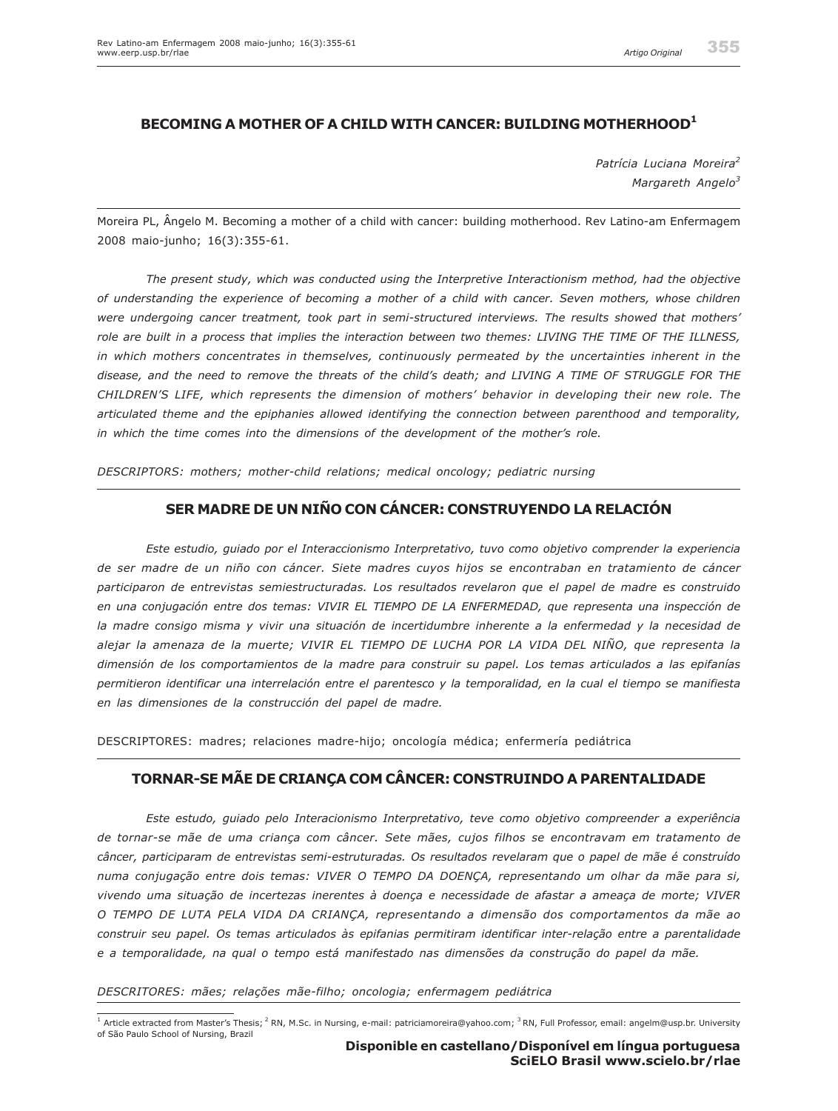# **BECOMING A MOTHER OF A CHILD WITH CANCER: BUILDING MOTHERHOOD1**

*Patrícia Luciana Moreira<sup>2</sup> Margareth Angelo<sup>3</sup>*

Moreira PL, Ângelo M. Becoming a mother of a child with cancer: building motherhood. Rev Latino-am Enfermagem 2008 maio-junho; 16(3):355-61.

*The present study, which was conducted using the Interpretive Interactionism method, had the objective of understanding the experience of becoming a mother of a child with cancer. Seven mothers, whose children were undergoing cancer treatment, took part in semi-structured interviews. The results showed that mothers' role are built in a process that implies the interaction between two themes: LIVING THE TIME OF THE ILLNESS, in which mothers concentrates in themselves, continuously permeated by the uncertainties inherent in the disease, and the need to remove the threats of the child's death; and LIVING A TIME OF STRUGGLE FOR THE CHILDREN'S LIFE, which represents the dimension of mothers' behavior in developing their new role. The articulated theme and the epiphanies allowed identifying the connection between parenthood and temporality, in which the time comes into the dimensions of the development of the mother's role.*

*DESCRIPTORS: mothers; mother-child relations; medical oncology; pediatric nursing*

## **SER MADRE DE UN NIÑO CON CÁNCER: CONSTRUYENDO LA RELACIÓN**

*Este estudio, guiado por el Interaccionismo Interpretativo, tuvo como objetivo comprender la experiencia de ser madre de un niño con cáncer. Siete madres cuyos hijos se encontraban en tratamiento de cáncer participaron de entrevistas semiestructuradas. Los resultados revelaron que el papel de madre es construido en una conjugación entre dos temas: VIVIR EL TIEMPO DE LA ENFERMEDAD, que representa una inspección de la madre consigo misma y vivir una situación de incertidumbre inherente a la enfermedad y la necesidad de alejar la amenaza de la muerte; VIVIR EL TIEMPO DE LUCHA POR LA VIDA DEL NIÑO, que representa la dimensión de los comportamientos de la madre para construir su papel. Los temas articulados a las epifanías permitieron identificar una interrelación entre el parentesco y la temporalidad, en la cual el tiempo se manifiesta en las dimensiones de la construcción del papel de madre.*

DESCRIPTORES: madres; relaciones madre-hijo; oncología médica; enfermería pediátrica

## **TORNAR-SE MÃE DE CRIANÇA COM CÂNCER: CONSTRUINDO A PARENTALIDADE**

*Este estudo, guiado pelo Interacionismo Interpretativo, teve como objetivo compreender a experiência de tornar-se mãe de uma criança com câncer. Sete mães, cujos filhos se encontravam em tratamento de câncer, participaram de entrevistas semi-estruturadas. Os resultados revelaram que o papel de mãe é construído numa conjugação entre dois temas: VIVER O TEMPO DA DOENÇA, representando um olhar da mãe para si, vivendo uma situação de incertezas inerentes à doença e necessidade de afastar a ameaça de morte; VIVER O TEMPO DE LUTA PELA VIDA DA CRIANÇA, representando a dimensão dos comportamentos da mãe ao construir seu papel. Os temas articulados às epifanias permitiram identificar inter-relação entre a parentalidade e a temporalidade, na qual o tempo está manifestado nas dimensões da construção do papel da mãe.*

#### *DESCRITORES: mães; relações mãe-filho; oncologia; enfermagem pediátrica*

<sup>&</sup>lt;sup>1</sup> Article extracted from Master's Thesis; <sup>2</sup> RN, M.Sc. in Nursing, e-mail: patriciamoreira@yahoo.com; <sup>3</sup> RN, Full Professor, email: angelm@usp.br. University of São Paulo School of Nursing, Brazil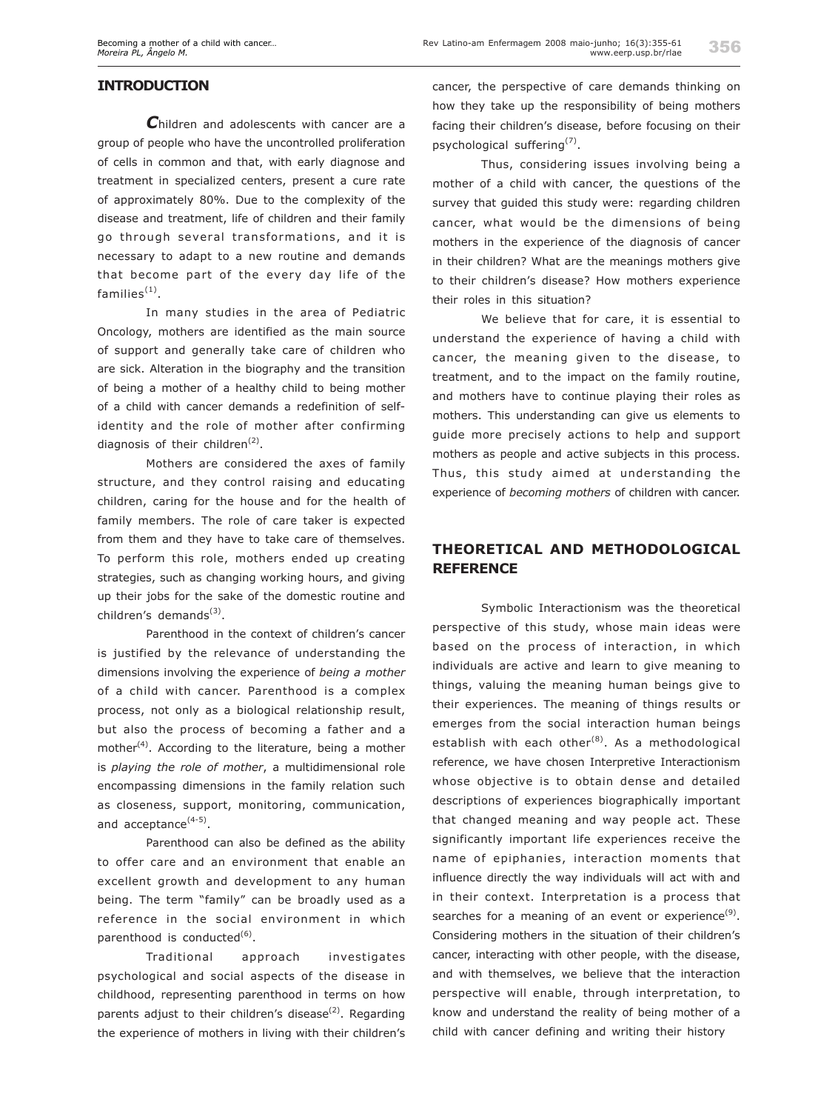### **INTRODUCTION**

*C*hildren and adolescents with cancer are a group of people who have the uncontrolled proliferation of cells in common and that, with early diagnose and treatment in specialized centers, present a cure rate of approximately 80%. Due to the complexity of the disease and treatment, life of children and their family go through several transformations, and it is necessary to adapt to a new routine and demands that become part of the every day life of the  $f$ amilies $<sup>(1)</sup>$ .</sup>

In many studies in the area of Pediatric Oncology, mothers are identified as the main source of support and generally take care of children who are sick. Alteration in the biography and the transition of being a mother of a healthy child to being mother of a child with cancer demands a redefinition of selfidentity and the role of mother after confirming diagnosis of their children $^{(2)}$ .

Mothers are considered the axes of family structure, and they control raising and educating children, caring for the house and for the health of family members. The role of care taker is expected from them and they have to take care of themselves. To perform this role, mothers ended up creating strategies, such as changing working hours, and giving up their jobs for the sake of the domestic routine and children's demands<sup>(3)</sup>.

Parenthood in the context of children's cancer is justified by the relevance of understanding the dimensions involving the experience of *being a mother* of a child with cancer. Parenthood is a complex process, not only as a biological relationship result, but also the process of becoming a father and a mother<sup>(4)</sup>. According to the literature, being a mother is *playing the role of mother*, a multidimensional role encompassing dimensions in the family relation such as closeness, support, monitoring, communication, and acceptance<sup>(4-5)</sup>.

Parenthood can also be defined as the ability to offer care and an environment that enable an excellent growth and development to any human being. The term "family" can be broadly used as a reference in the social environment in which parenthood is conducted $(6)$ .

Traditional approach investigates psychological and social aspects of the disease in childhood, representing parenthood in terms on how parents adjust to their children's disease $^{(2)}$ . Regarding the experience of mothers in living with their children's

cancer, the perspective of care demands thinking on how they take up the responsibility of being mothers facing their children's disease, before focusing on their psychological suffering<sup>(7)</sup>.

Thus, considering issues involving being a mother of a child with cancer, the questions of the survey that guided this study were: regarding children cancer, what would be the dimensions of being mothers in the experience of the diagnosis of cancer in their children? What are the meanings mothers give to their children's disease? How mothers experience their roles in this situation?

We believe that for care, it is essential to understand the experience of having a child with cancer, the meaning given to the disease, to treatment, and to the impact on the family routine, and mothers have to continue playing their roles as mothers. This understanding can give us elements to guide more precisely actions to help and support mothers as people and active subjects in this process. Thus, this study aimed at understanding the experience of *becoming mothers* of children with cancer.

## **THEORETICAL AND METHODOLOGICAL REFERENCE**

Symbolic Interactionism was the theoretical perspective of this study, whose main ideas were based on the process of interaction, in which individuals are active and learn to give meaning to things, valuing the meaning human beings give to their experiences. The meaning of things results or emerges from the social interaction human beings establish with each other<sup>(8)</sup>. As a methodological reference, we have chosen Interpretive Interactionism whose objective is to obtain dense and detailed descriptions of experiences biographically important that changed meaning and way people act. These significantly important life experiences receive the name of epiphanies, interaction moments that influence directly the way individuals will act with and in their context. Interpretation is a process that searches for a meaning of an event or experience<sup>(9)</sup>. Considering mothers in the situation of their children's cancer, interacting with other people, with the disease, and with themselves, we believe that the interaction perspective will enable, through interpretation, to know and understand the reality of being mother of a child with cancer defining and writing their history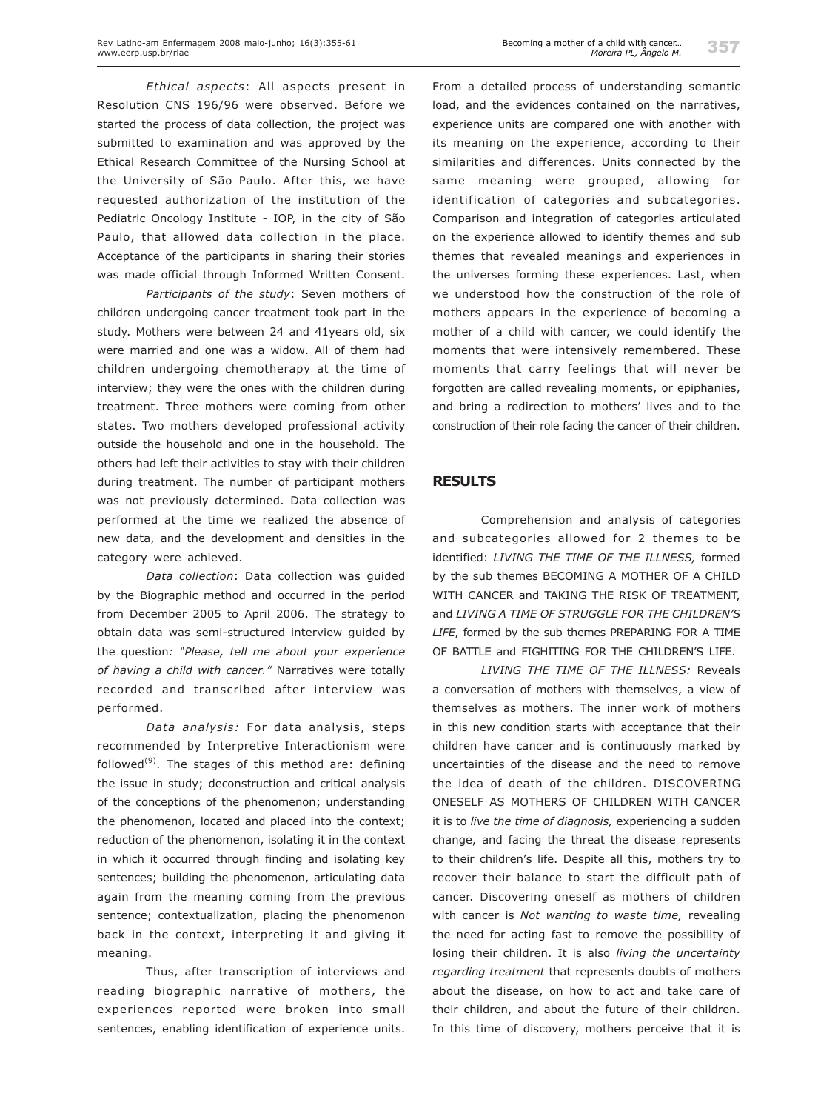*Ethical aspects*: All aspects present in Resolution CNS 196/96 were observed. Before we started the process of data collection, the project was submitted to examination and was approved by the Ethical Research Committee of the Nursing School at the University of São Paulo. After this, we have requested authorization of the institution of the Pediatric Oncology Institute - IOP, in the city of São Paulo, that allowed data collection in the place. Acceptance of the participants in sharing their stories was made official through Informed Written Consent.

*Participants of the study*: Seven mothers of children undergoing cancer treatment took part in the study. Mothers were between 24 and 41years old, six were married and one was a widow. All of them had children undergoing chemotherapy at the time of interview; they were the ones with the children during treatment. Three mothers were coming from other states. Two mothers developed professional activity outside the household and one in the household. The others had left their activities to stay with their children during treatment. The number of participant mothers was not previously determined. Data collection was performed at the time we realized the absence of new data, and the development and densities in the category were achieved.

*Data collection*: Data collection was guided by the Biographic method and occurred in the period from December 2005 to April 2006. The strategy to obtain data was semi-structured interview guided by the question*: "Please, tell me about your experience of having a child with cancer."* Narratives were totally recorded and transcribed after interview was performed.

*Data analysis:* For data analysis, steps recommended by Interpretive Interactionism were followed<sup>(9)</sup>. The stages of this method are: defining the issue in study; deconstruction and critical analysis of the conceptions of the phenomenon; understanding the phenomenon, located and placed into the context; reduction of the phenomenon, isolating it in the context in which it occurred through finding and isolating key sentences; building the phenomenon, articulating data again from the meaning coming from the previous sentence; contextualization, placing the phenomenon back in the context, interpreting it and giving it meaning.

Thus, after transcription of interviews and reading biographic narrative of mothers, the experiences reported were broken into small sentences, enabling identification of experience units.

From a detailed process of understanding semantic load, and the evidences contained on the narratives, experience units are compared one with another with its meaning on the experience, according to their similarities and differences. Units connected by the same meaning were grouped, allowing for identification of categories and subcategories. Comparison and integration of categories articulated on the experience allowed to identify themes and sub themes that revealed meanings and experiences in the universes forming these experiences. Last, when we understood how the construction of the role of mothers appears in the experience of becoming a mother of a child with cancer, we could identify the moments that were intensively remembered. These moments that carry feelings that will never be forgotten are called revealing moments, or epiphanies, and bring a redirection to mothers' lives and to the construction of their role facing the cancer of their children.

#### **RESULTS**

Comprehension and analysis of categories and subcategories allowed for 2 themes to be identified: *LIVING THE TIME OF THE ILLNESS,* formed by the sub themes BECOMING A MOTHER OF A CHILD WITH CANCER and TAKING THE RISK OF TREATMENT, and *LIVING A TIME OF STRUGGLE FOR THE CHILDREN'S LIFE*, formed by the sub themes PREPARING FOR A TIME OF BATTLE and FIGHITING FOR THE CHILDREN'S LIFE.

*LIVING THE TIME OF THE ILLNESS:* Reveals a conversation of mothers with themselves, a view of themselves as mothers. The inner work of mothers in this new condition starts with acceptance that their children have cancer and is continuously marked by uncertainties of the disease and the need to remove the idea of death of the children. DISCOVERING ONESELF AS MOTHERS OF CHILDREN WITH CANCER it is to *live the time of diagnosis,* experiencing a sudden change, and facing the threat the disease represents to their children's life. Despite all this, mothers try to recover their balance to start the difficult path of cancer. Discovering oneself as mothers of children with cancer is *Not wanting to waste time,* revealing the need for acting fast to remove the possibility of losing their children. It is also *living the uncertainty regarding treatment* that represents doubts of mothers about the disease, on how to act and take care of their children, and about the future of their children. In this time of discovery, mothers perceive that it is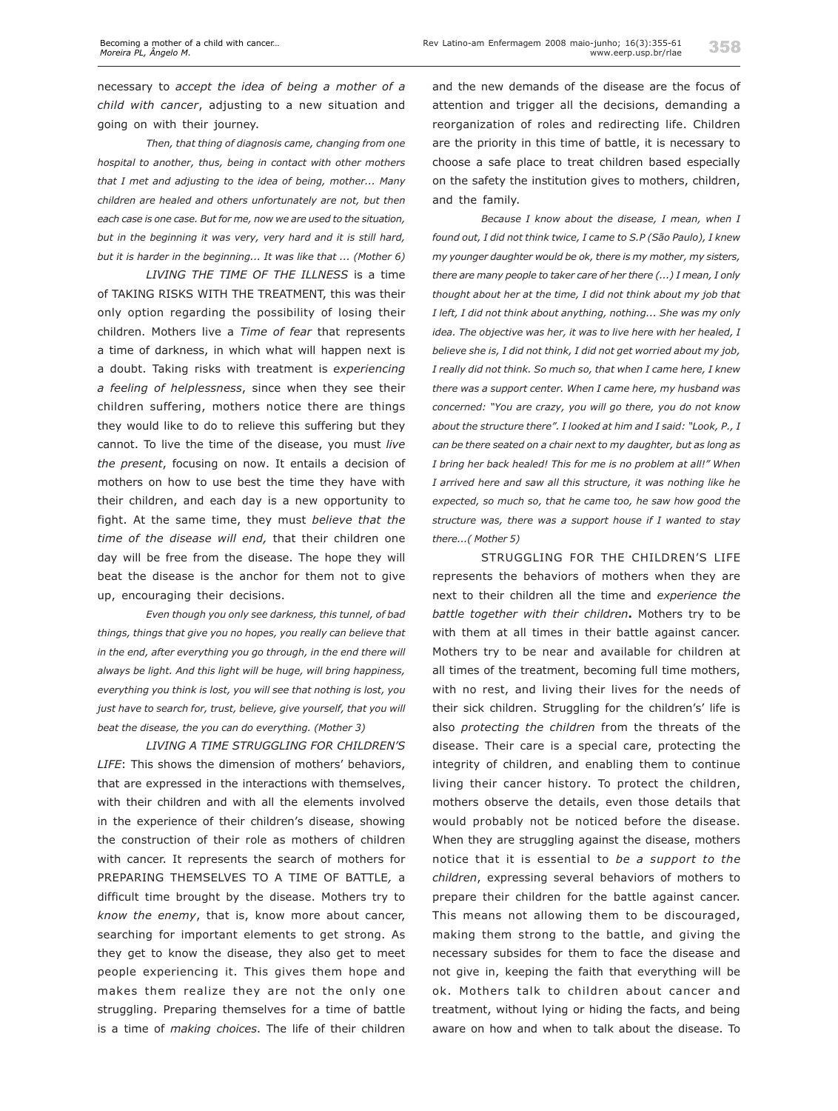necessary to *accept the idea of being a mother of a child with cancer*, adjusting to a new situation and going on with their journey.

*Then, that thing of diagnosis came, changing from one hospital to another, thus, being in contact with other mothers that I met and adjusting to the idea of being, mother... Many children are healed and others unfortunately are not, but then each case is one case. But for me, now we are used to the situation, but in the beginning it was very, very hard and it is still hard, but it is harder in the beginning... It was like that ... (Mother 6)*

*LIVING THE TIME OF THE ILLNESS* is a time of TAKING RISKS WITH THE TREATMENT, this was their only option regarding the possibility of losing their children. Mothers live a *Time of fear* that represents a time of darkness, in which what will happen next is a doubt. Taking risks with treatment is *experiencing a feeling of helplessness*, since when they see their children suffering, mothers notice there are things they would like to do to relieve this suffering but they cannot. To live the time of the disease, you must *live the present*, focusing on now. It entails a decision of mothers on how to use best the time they have with their children, and each day is a new opportunity to fight. At the same time, they must *believe that the time of the disease will end,* that their children one day will be free from the disease. The hope they will beat the disease is the anchor for them not to give up, encouraging their decisions.

*Even though you only see darkness, this tunnel, of bad things, things that give you no hopes, you really can believe that in the end, after everything you go through, in the end there will always be light. And this light will be huge, will bring happiness, everything you think is lost, you will see that nothing is lost, you just have to search for, trust, believe, give yourself, that you will beat the disease, the you can do everything. (Mother 3)*

*LIVING A TIME STRUGGLING FOR CHILDREN'S LIFE*: This shows the dimension of mothers' behaviors, that are expressed in the interactions with themselves, with their children and with all the elements involved in the experience of their children's disease, showing the construction of their role as mothers of children with cancer. It represents the search of mothers for PREPARING THEMSELVES TO A TIME OF BATTLE*,* a difficult time brought by the disease. Mothers try to *know the enemy*, that is, know more about cancer, searching for important elements to get strong. As they get to know the disease, they also get to meet people experiencing it. This gives them hope and makes them realize they are not the only one struggling. Preparing themselves for a time of battle is a time of *making choices*. The life of their children

and the new demands of the disease are the focus of attention and trigger all the decisions, demanding a reorganization of roles and redirecting life. Children are the priority in this time of battle, it is necessary to choose a safe place to treat children based especially on the safety the institution gives to mothers, children, and the family.

*Because I know about the disease, I mean, when I found out, I did not think twice, I came to S.P (São Paulo), I knew my younger daughter would be ok, there is my mother, my sisters, there are many people to taker care of her there (...) I mean, I only thought about her at the time, I did not think about my job that I left, I did not think about anything, nothing... She was my only idea. The objective was her, it was to live here with her healed, I believe she is, I did not think, I did not get worried about my job, I really did not think. So much so, that when I came here, I knew there was a support center. When I came here, my husband was concerned: "You are crazy, you will go there, you do not know about the structure there". I looked at him and I said: "Look, P., I can be there seated on a chair next to my daughter, but as long as I bring her back healed! This for me is no problem at all!" When I arrived here and saw all this structure, it was nothing like he expected, so much so, that he came too, he saw how good the structure was, there was a support house if I wanted to stay there...( Mother 5)*

STRUGGLING FOR THE CHILDREN'S LIFE represents the behaviors of mothers when they are next to their children all the time and *experience the battle together with their children***.** Mothers try to be with them at all times in their battle against cancer. Mothers try to be near and available for children at all times of the treatment, becoming full time mothers, with no rest, and living their lives for the needs of their sick children. Struggling for the children's' life is also *protecting the children* from the threats of the disease. Their care is a special care, protecting the integrity of children, and enabling them to continue living their cancer history. To protect the children, mothers observe the details, even those details that would probably not be noticed before the disease. When they are struggling against the disease, mothers notice that it is essential to *be a support to the children*, expressing several behaviors of mothers to prepare their children for the battle against cancer. This means not allowing them to be discouraged, making them strong to the battle, and giving the necessary subsides for them to face the disease and not give in, keeping the faith that everything will be ok. Mothers talk to children about cancer and treatment, without lying or hiding the facts, and being aware on how and when to talk about the disease. To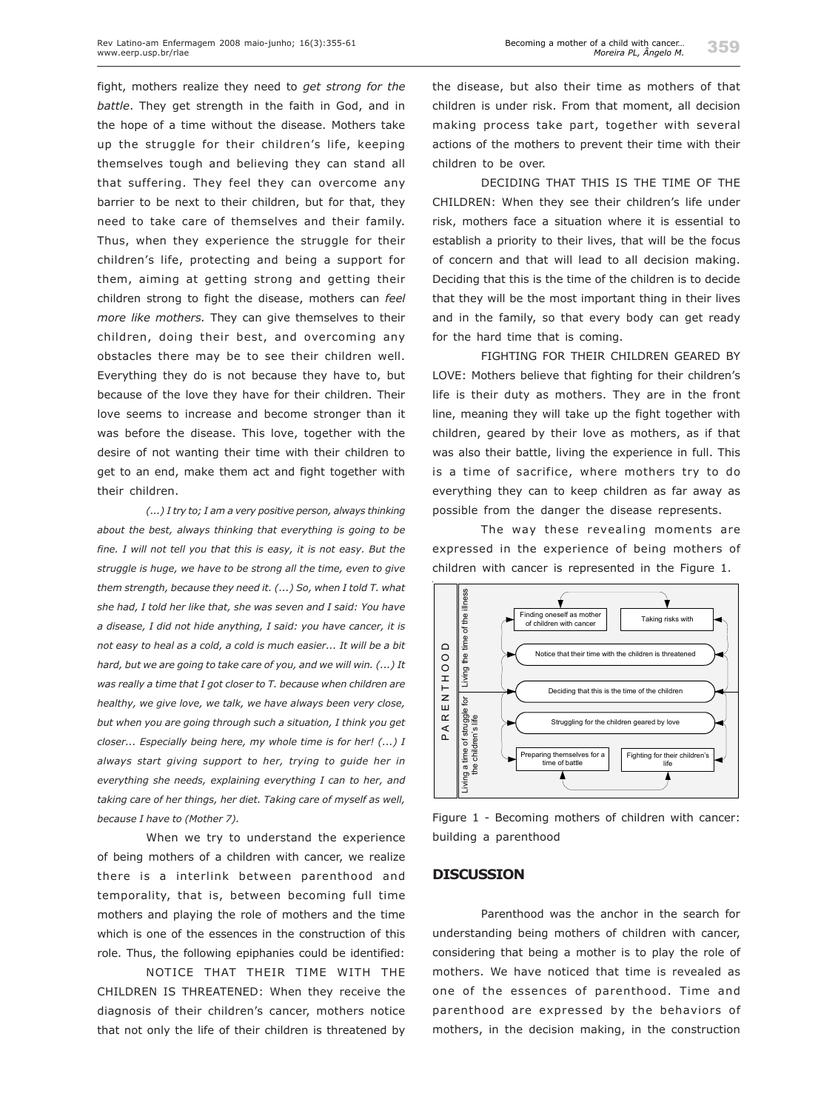fight, mothers realize they need to *get strong for the battle*. They get strength in the faith in God, and in the hope of a time without the disease. Mothers take up the struggle for their children's life, keeping themselves tough and believing they can stand all that suffering. They feel they can overcome any barrier to be next to their children, but for that, they need to take care of themselves and their family. Thus, when they experience the struggle for their children's life, protecting and being a support for them, aiming at getting strong and getting their children strong to fight the disease, mothers can *feel more like mothers.* They can give themselves to their children, doing their best, and overcoming any obstacles there may be to see their children well. Everything they do is not because they have to, but because of the love they have for their children. Their love seems to increase and become stronger than it was before the disease. This love, together with the desire of not wanting their time with their children to get to an end, make them act and fight together with their children.

*(...) I try to; I am a very positive person, always thinking about the best, always thinking that everything is going to be fine. I will not tell you that this is easy, it is not easy. But the struggle is huge, we have to be strong all the time, even to give them strength, because they need it. (...) So, when I told T. what she had, I told her like that, she was seven and I said: You have a disease, I did not hide anything, I said: you have cancer, it is not easy to heal as a cold, a cold is much easier... It will be a bit hard, but we are going to take care of you, and we will win. (...) It was really a time that I got closer to T. because when children are healthy, we give love, we talk, we have always been very close, but when you are going through such a situation, I think you get closer... Especially being here, my whole time is for her! (...) I always start giving support to her, trying to guide her in everything she needs, explaining everything I can to her, and taking care of her things, her diet. Taking care of myself as well, because I have to (Mother 7).*

When we try to understand the experience of being mothers of a children with cancer, we realize there is a interlink between parenthood and temporality, that is, between becoming full time mothers and playing the role of mothers and the time which is one of the essences in the construction of this role. Thus, the following epiphanies could be identified:

NOTICE THAT THEIR TIME WITH THE CHILDREN IS THREATENED: When they receive the diagnosis of their children's cancer, mothers notice that not only the life of their children is threatened by the disease, but also their time as mothers of that children is under risk. From that moment, all decision making process take part, together with several actions of the mothers to prevent their time with their children to be over.

DECIDING THAT THIS IS THE TIME OF THE CHILDREN: When they see their children's life under risk, mothers face a situation where it is essential to establish a priority to their lives, that will be the focus of concern and that will lead to all decision making. Deciding that this is the time of the children is to decide that they will be the most important thing in their lives and in the family, so that every body can get ready for the hard time that is coming.

FIGHTING FOR THEIR CHILDREN GEARED BY LOVE: Mothers believe that fighting for their children's life is their duty as mothers. They are in the front line, meaning they will take up the fight together with children, geared by their love as mothers, as if that was also their battle, living the experience in full. This is a time of sacrifice, where mothers try to do everything they can to keep children as far away as possible from the danger the disease represents.

The way these revealing moments are expressed in the experience of being mothers of children with cancer is represented in the Figure 1.



Figure 1 - Becoming mothers of children with cancer: building a parenthood

#### **DISCUSSION**

Parenthood was the anchor in the search for understanding being mothers of children with cancer, considering that being a mother is to play the role of mothers. We have noticed that time is revealed as one of the essences of parenthood. Time and parenthood are expressed by the behaviors of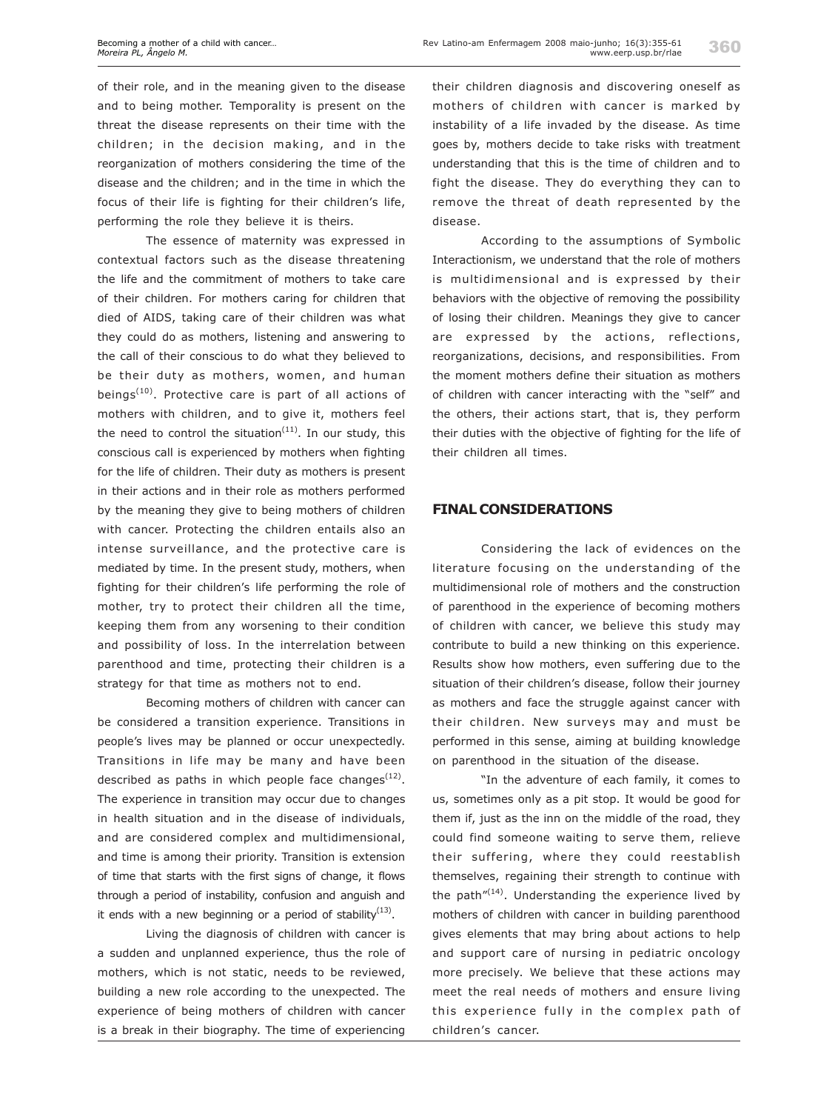of their role, and in the meaning given to the disease and to being mother. Temporality is present on the threat the disease represents on their time with the children; in the decision making, and in the reorganization of mothers considering the time of the disease and the children; and in the time in which the focus of their life is fighting for their children's life, performing the role they believe it is theirs.

The essence of maternity was expressed in contextual factors such as the disease threatening the life and the commitment of mothers to take care of their children. For mothers caring for children that died of AIDS, taking care of their children was what they could do as mothers, listening and answering to the call of their conscious to do what they believed to be their duty as mothers, women, and human beings<sup> $(10)$ </sup>. Protective care is part of all actions of mothers with children, and to give it, mothers feel the need to control the situation<sup>(11)</sup>. In our study, this conscious call is experienced by mothers when fighting for the life of children. Their duty as mothers is present in their actions and in their role as mothers performed by the meaning they give to being mothers of children with cancer. Protecting the children entails also an intense surveillance, and the protective care is mediated by time. In the present study, mothers, when fighting for their children's life performing the role of mother, try to protect their children all the time, keeping them from any worsening to their condition and possibility of loss. In the interrelation between parenthood and time, protecting their children is a strategy for that time as mothers not to end.

Becoming mothers of children with cancer can be considered a transition experience. Transitions in people's lives may be planned or occur unexpectedly. Transitions in life may be many and have been described as paths in which people face changes<sup> $(12)$ </sup>. The experience in transition may occur due to changes in health situation and in the disease of individuals, and are considered complex and multidimensional, and time is among their priority. Transition is extension of time that starts with the first signs of change, it flows through a period of instability, confusion and anguish and it ends with a new beginning or a period of stability $(13)$ .

Living the diagnosis of children with cancer is a sudden and unplanned experience, thus the role of mothers, which is not static, needs to be reviewed, building a new role according to the unexpected. The experience of being mothers of children with cancer is a break in their biography. The time of experiencing

their children diagnosis and discovering oneself as mothers of children with cancer is marked by instability of a life invaded by the disease. As time goes by, mothers decide to take risks with treatment understanding that this is the time of children and to fight the disease. They do everything they can to remove the threat of death represented by the disease.

According to the assumptions of Symbolic Interactionism, we understand that the role of mothers is multidimensional and is expressed by their behaviors with the objective of removing the possibility of losing their children. Meanings they give to cancer are expressed by the actions, reflections, reorganizations, decisions, and responsibilities. From the moment mothers define their situation as mothers of children with cancer interacting with the "self" and the others, their actions start, that is, they perform their duties with the objective of fighting for the life of their children all times.

### **FINAL CONSIDERATIONS**

Considering the lack of evidences on the literature focusing on the understanding of the multidimensional role of mothers and the construction of parenthood in the experience of becoming mothers of children with cancer, we believe this study may contribute to build a new thinking on this experience. Results show how mothers, even suffering due to the situation of their children's disease, follow their journey as mothers and face the struggle against cancer with their children. New surveys may and must be performed in this sense, aiming at building knowledge on parenthood in the situation of the disease.

"In the adventure of each family, it comes to us, sometimes only as a pit stop. It would be good for them if, just as the inn on the middle of the road, they could find someone waiting to serve them, relieve their suffering, where they could reestablish themselves, regaining their strength to continue with the path $''^{(14)}$ . Understanding the experience lived by mothers of children with cancer in building parenthood gives elements that may bring about actions to help and support care of nursing in pediatric oncology more precisely. We believe that these actions may meet the real needs of mothers and ensure living this experience fully in the complex path of children's cancer.